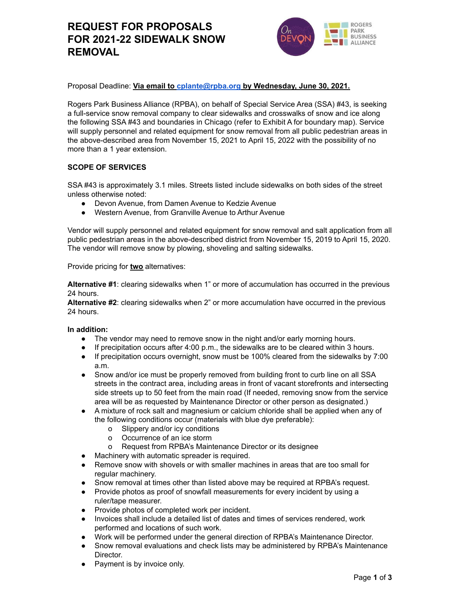# **REQUEST FOR PROPOSALS FOR 2021-22 SIDEWALK SNOW REMOVAL**



Proposal Deadline: **Via email to [cplante@rpba.org](mailto:cplante@rpba.org) by Wednesday, June 30, 2021.**

Rogers Park Business Alliance (RPBA), on behalf of Special Service Area (SSA) #43, is seeking a full-service snow removal company to clear sidewalks and crosswalks of snow and ice along the following SSA #43 and boundaries in Chicago (refer to Exhibit A for boundary map). Service will supply personnel and related equipment for snow removal from all public pedestrian areas in the above-described area from November 15, 2021 to April 15, 2022 with the possibility of no more than a 1 year extension.

## **SCOPE OF SERVICES**

SSA #43 is approximately 3.1 miles. Streets listed include sidewalks on both sides of the street unless otherwise noted:

- Devon Avenue, from Damen Avenue to Kedzie Avenue
- Western Avenue, from Granville Avenue to Arthur Avenue

Vendor will supply personnel and related equipment for snow removal and salt application from all public pedestrian areas in the above-described district from November 15, 2019 to April 15, 2020. The vendor will remove snow by plowing, shoveling and salting sidewalks.

Provide pricing for **two** alternatives:

**Alternative #1**: clearing sidewalks when 1" or more of accumulation has occurred in the previous 24 hours.

**Alternative #2**: clearing sidewalks when 2" or more accumulation have occurred in the previous 24 hours.

#### **In addition:**

- The vendor may need to remove snow in the night and/or early morning hours.
- If precipitation occurs after 4:00 p.m., the sidewalks are to be cleared within 3 hours.
- If precipitation occurs overnight, snow must be 100% cleared from the sidewalks by 7:00 a.m.
- Snow and/or ice must be properly removed from building front to curb line on all SSA streets in the contract area, including areas in front of vacant storefronts and intersecting side streets up to 50 feet from the main road (If needed, removing snow from the service area will be as requested by Maintenance Director or other person as designated.)
- A mixture of rock salt and magnesium or calcium chloride shall be applied when any of the following conditions occur (materials with blue dye preferable):
	- o Slippery and/or icy conditions
	- o Occurrence of an ice storm
	- o Request from RPBA's Maintenance Director or its designee
- Machinery with automatic spreader is required.
- Remove snow with shovels or with smaller machines in areas that are too small for regular machinery.
- Snow removal at times other than listed above may be required at RPBA's request.
- Provide photos as proof of snowfall measurements for every incident by using a ruler/tape measurer.
- Provide photos of completed work per incident.
- Invoices shall include a detailed list of dates and times of services rendered, work performed and locations of such work.
- Work will be performed under the general direction of RPBA's Maintenance Director.
- Snow removal evaluations and check lists may be administered by RPBA's Maintenance Director.
- Payment is by invoice only.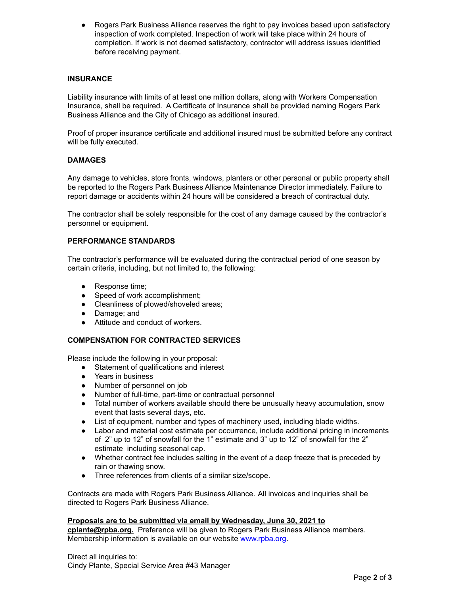Rogers Park Business Alliance reserves the right to pay invoices based upon satisfactory inspection of work completed. Inspection of work will take place within 24 hours of completion. If work is not deemed satisfactory, contractor will address issues identified before receiving payment.

## **INSURANCE**

Liability insurance with limits of at least one million dollars, along with Workers Compensation Insurance, shall be required. A Certificate of Insurance shall be provided naming Rogers Park Business Alliance and the City of Chicago as additional insured.

Proof of proper insurance certificate and additional insured must be submitted before any contract will be fully executed.

## **DAMAGES**

Any damage to vehicles, store fronts, windows, planters or other personal or public property shall be reported to the Rogers Park Business Alliance Maintenance Director immediately. Failure to report damage or accidents within 24 hours will be considered a breach of contractual duty.

The contractor shall be solely responsible for the cost of any damage caused by the contractor's personnel or equipment.

#### **PERFORMANCE STANDARDS**

The contractor's performance will be evaluated during the contractual period of one season by certain criteria, including, but not limited to, the following:

- Response time;
- Speed of work accomplishment:
- Cleanliness of plowed/shoveled areas;
- Damage; and
- Attitude and conduct of workers.

## **COMPENSATION FOR CONTRACTED SERVICES**

Please include the following in your proposal:

- Statement of qualifications and interest
- Years in business
- Number of personnel on job
- Number of full-time, part-time or contractual personnel
- Total number of workers available should there be unusually heavy accumulation, snow event that lasts several days, etc.
- List of equipment, number and types of machinery used, including blade widths.
- Labor and material cost estimate per occurrence, include additional pricing in increments of 2" up to 12" of snowfall for the 1" estimate and 3" up to 12" of snowfall for the 2" estimate including seasonal cap.
- Whether contract fee includes salting in the event of a deep freeze that is preceded by rain or thawing snow.
- Three references from clients of a similar size/scope.

Contracts are made with Rogers Park Business Alliance. All invoices and inquiries shall be directed to Rogers Park Business Alliance.

#### **Proposals are to be submitted via email by Wednesday, June 30, 2021 to**

**cplante@rpba.org.** Preference will be given to Rogers Park Business Alliance members. Membership information is available on our website [www.rpba.org](http://www.rpba.org).